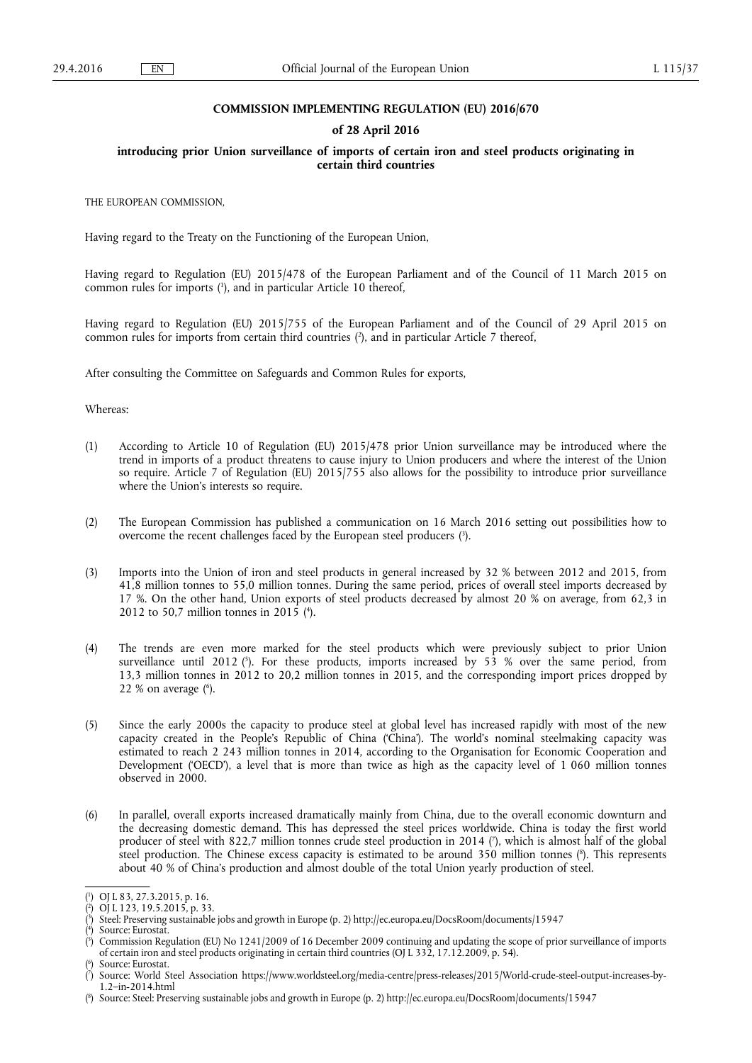#### **COMMISSION IMPLEMENTING REGULATION (EU) 2016/670**

#### **of 28 April 2016**

#### **introducing prior Union surveillance of imports of certain iron and steel products originating in certain third countries**

THE EUROPEAN COMMISSION,

Having regard to the Treaty on the Functioning of the European Union,

Having regard to Regulation (EU) 2015/478 of the European Parliament and of the Council of 11 March 2015 on common rules for imports ( 1 ), and in particular Article 10 thereof,

Having regard to Regulation (EU) 2015/755 of the European Parliament and of the Council of 29 April 2015 on common rules for imports from certain third countries ( 2 ), and in particular Article 7 thereof,

After consulting the Committee on Safeguards and Common Rules for exports,

Whereas:

- (1) According to Article 10 of Regulation (EU) 2015/478 prior Union surveillance may be introduced where the trend in imports of a product threatens to cause injury to Union producers and where the interest of the Union so require. Article 7 of Regulation (EU) 2015/755 also allows for the possibility to introduce prior surveillance where the Union's interests so require.
- (2) The European Commission has published a communication on 16 March 2016 setting out possibilities how to overcome the recent challenges faced by the European steel producers ( 3 ).
- (3) Imports into the Union of iron and steel products in general increased by 32 % between 2012 and 2015, from 41,8 million tonnes to 55,0 million tonnes. During the same period, prices of overall steel imports decreased by 17 %. On the other hand, Union exports of steel products decreased by almost 20 % on average, from 62,3 in 2012 to 50,7 million tonnes in 2015 ( 4 ).
- (4) The trends are even more marked for the steel products which were previously subject to prior Union surveillance until 2012 ( 5 ). For these products, imports increased by 53 % over the same period, from 13,3 million tonnes in 2012 to 20,2 million tonnes in 2015, and the corresponding import prices dropped by  $22%$  on average  $(6)$ .
- (5) Since the early 2000s the capacity to produce steel at global level has increased rapidly with most of the new capacity created in the People's Republic of China ('China'). The world's nominal steelmaking capacity was estimated to reach 2 243 million tonnes in 2014, according to the Organisation for Economic Cooperation and Development ('OECD'), a level that is more than twice as high as the capacity level of 1 060 million tonnes observed in 2000.
- (6) In parallel, overall exports increased dramatically mainly from China, due to the overall economic downturn and the decreasing domestic demand. This has depressed the steel prices worldwide. China is today the first world producer of steel with 822,7 million tonnes crude steel production in 2014 ( 7 ), which is almost half of the global steel production. The Chinese excess capacity is estimated to be around 350 million tonnes ( 8 ). This represents about 40 % of China's production and almost double of the total Union yearly production of steel.

( 6 ) Source: Eurostat.

<sup>(</sup> 1 ) OJ L 83, 27.3.2015, p. 16.

<sup>(</sup> 2 ) OJ L 123, 19.5.2015, p. 33.

<sup>(</sup> 3 ) Steel: Preserving sustainable jobs and growth in Europe (p. 2) <http://ec.europa.eu/DocsRoom/documents/15947>

<sup>(</sup> 4 Source: Eurostat.

<sup>(</sup> 5 ) Commission Regulation (EU) No 1241/2009 of 16 December 2009 continuing and updating the scope of prior surveillance of imports of certain iron and steel products originating in certain third countries (OJ L 332, 17.12.2009, p. 54).

<sup>(</sup> 7 ) Source: World Steel Association [https://www.worldsteel.org/media-centre/press-releases/2015/World-crude-steel-output-increases-by-](https://www.worldsteel.org/media-centre/press-releases/2015/World-crude-steel-output-increases-by-1.2--in-2014.html)[1.2–in-2014.html](https://www.worldsteel.org/media-centre/press-releases/2015/World-crude-steel-output-increases-by-1.2--in-2014.html) 

<sup>(</sup> 8 ) Source: Steel: Preserving sustainable jobs and growth in Europe (p. 2)<http://ec.europa.eu/DocsRoom/documents/15947>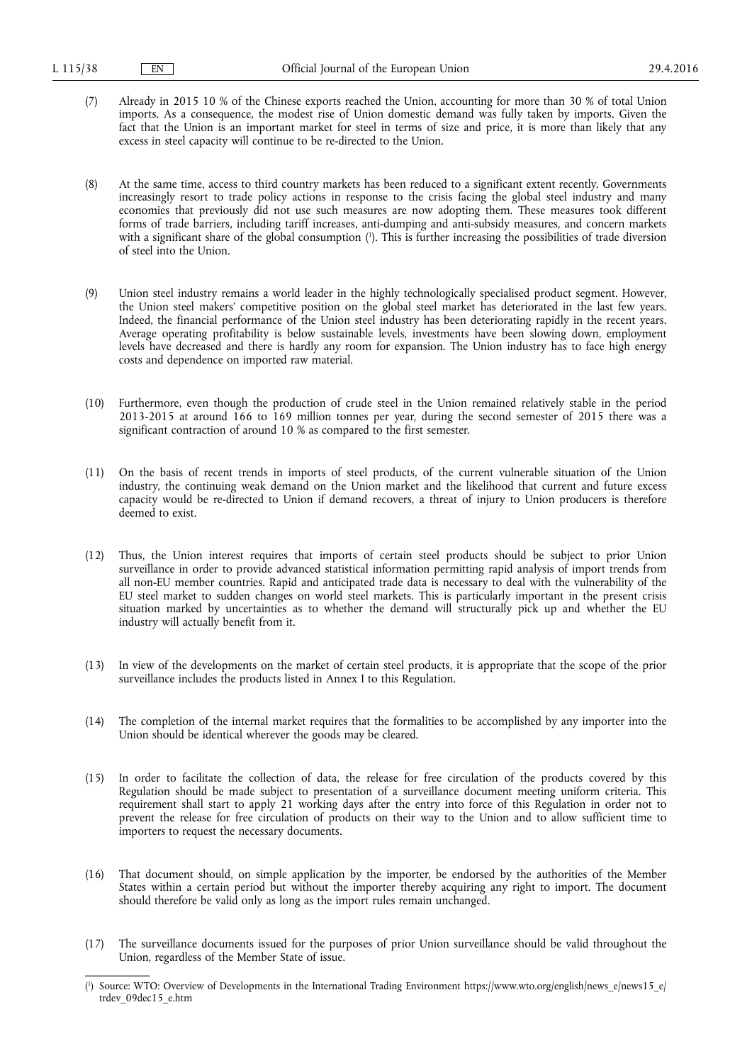(7) Already in 2015 10 % of the Chinese exports reached the Union, accounting for more than 30 % of total Union imports. As a consequence, the modest rise of Union domestic demand was fully taken by imports. Given the fact that the Union is an important market for steel in terms of size and price, it is more than likely that any excess in steel capacity will continue to be re-directed to the Union.

(8) At the same time, access to third country markets has been reduced to a significant extent recently. Governments increasingly resort to trade policy actions in response to the crisis facing the global steel industry and many economies that previously did not use such measures are now adopting them. These measures took different forms of trade barriers, including tariff increases, anti-dumping and anti-subsidy measures, and concern markets with a significant share of the global consumption ( 1 ). This is further increasing the possibilities of trade diversion of steel into the Union.

- (9) Union steel industry remains a world leader in the highly technologically specialised product segment. However, the Union steel makers' competitive position on the global steel market has deteriorated in the last few years. Indeed, the financial performance of the Union steel industry has been deteriorating rapidly in the recent years. Average operating profitability is below sustainable levels, investments have been slowing down, employment levels have decreased and there is hardly any room for expansion. The Union industry has to face high energy costs and dependence on imported raw material.
- (10) Furthermore, even though the production of crude steel in the Union remained relatively stable in the period 2013-2015 at around 166 to 169 million tonnes per year, during the second semester of 2015 there was a significant contraction of around 10 % as compared to the first semester.
- (11) On the basis of recent trends in imports of steel products, of the current vulnerable situation of the Union industry, the continuing weak demand on the Union market and the likelihood that current and future excess capacity would be re-directed to Union if demand recovers, a threat of injury to Union producers is therefore deemed to exist.
- (12) Thus, the Union interest requires that imports of certain steel products should be subject to prior Union surveillance in order to provide advanced statistical information permitting rapid analysis of import trends from all non-EU member countries. Rapid and anticipated trade data is necessary to deal with the vulnerability of the EU steel market to sudden changes on world steel markets. This is particularly important in the present crisis situation marked by uncertainties as to whether the demand will structurally pick up and whether the EU industry will actually benefit from it.
- (13) In view of the developments on the market of certain steel products, it is appropriate that the scope of the prior surveillance includes the products listed in Annex I to this Regulation.
- (14) The completion of the internal market requires that the formalities to be accomplished by any importer into the Union should be identical wherever the goods may be cleared.
- (15) In order to facilitate the collection of data, the release for free circulation of the products covered by this Regulation should be made subject to presentation of a surveillance document meeting uniform criteria. This requirement shall start to apply 21 working days after the entry into force of this Regulation in order not to prevent the release for free circulation of products on their way to the Union and to allow sufficient time to importers to request the necessary documents.
- (16) That document should, on simple application by the importer, be endorsed by the authorities of the Member States within a certain period but without the importer thereby acquiring any right to import. The document should therefore be valid only as long as the import rules remain unchanged.
- (17) The surveillance documents issued for the purposes of prior Union surveillance should be valid throughout the Union, regardless of the Member State of issue.

<sup>(</sup> 1 ) Source: WTO: Overview of Developments in the International Trading Environment [https://www.wto.org/english/news\\_e/news15\\_e/](https://www.wto.org/english/news_e/news15_e/trdev_09dec15_e.htm)  [trdev\\_09dec15\\_e.htm](https://www.wto.org/english/news_e/news15_e/trdev_09dec15_e.htm)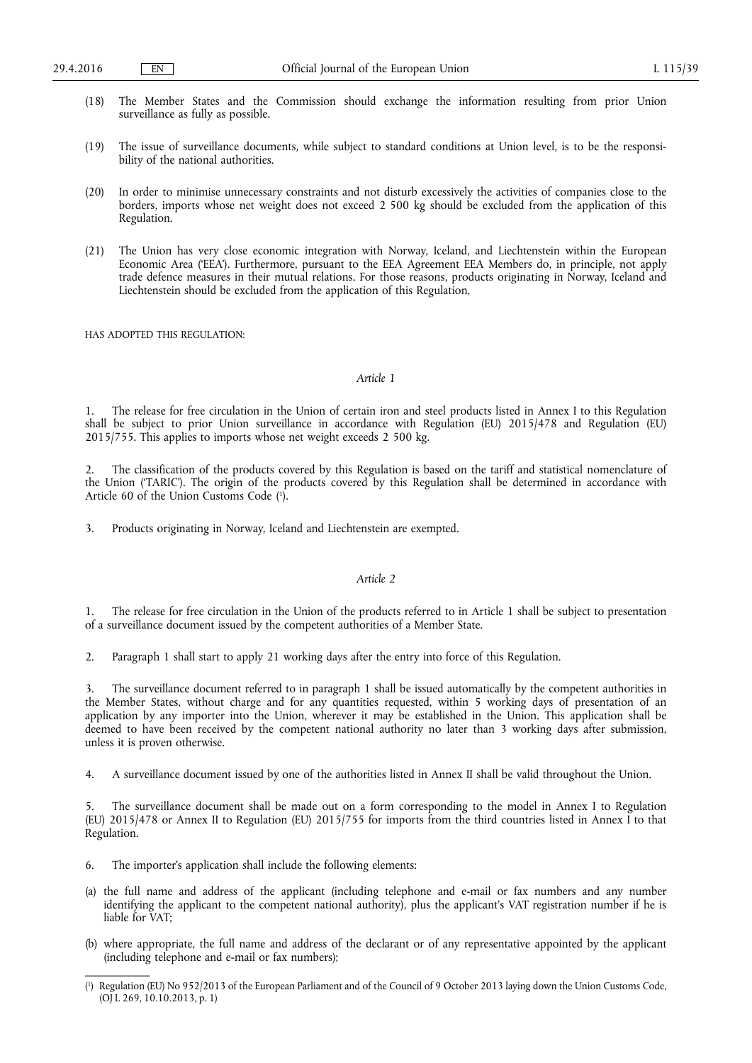- (18) The Member States and the Commission should exchange the information resulting from prior Union surveillance as fully as possible.
- (19) The issue of surveillance documents, while subject to standard conditions at Union level, is to be the responsibility of the national authorities.
- (20) In order to minimise unnecessary constraints and not disturb excessively the activities of companies close to the borders, imports whose net weight does not exceed 2 500 kg should be excluded from the application of this Regulation.
- (21) The Union has very close economic integration with Norway, Iceland, and Liechtenstein within the European Economic Area ('EEA'). Furthermore, pursuant to the EEA Agreement EEA Members do, in principle, not apply trade defence measures in their mutual relations. For those reasons, products originating in Norway, Iceland and Liechtenstein should be excluded from the application of this Regulation,

HAS ADOPTED THIS REGULATION:

#### *Article 1*

1. The release for free circulation in the Union of certain iron and steel products listed in Annex I to this Regulation shall be subject to prior Union surveillance in accordance with Regulation (EU) 2015/478 and Regulation (EU) 2015/755. This applies to imports whose net weight exceeds 2 500 kg.

2. The classification of the products covered by this Regulation is based on the tariff and statistical nomenclature of the Union ('TARIC'). The origin of the products covered by this Regulation shall be determined in accordance with Article 60 of the Union Customs Code ( 1 ).

3. Products originating in Norway, Iceland and Liechtenstein are exempted.

#### *Article 2*

1. The release for free circulation in the Union of the products referred to in Article 1 shall be subject to presentation of a surveillance document issued by the competent authorities of a Member State.

2. Paragraph 1 shall start to apply 21 working days after the entry into force of this Regulation.

3. The surveillance document referred to in paragraph 1 shall be issued automatically by the competent authorities in the Member States, without charge and for any quantities requested, within 5 working days of presentation of an application by any importer into the Union, wherever it may be established in the Union. This application shall be deemed to have been received by the competent national authority no later than 3 working days after submission, unless it is proven otherwise.

4. A surveillance document issued by one of the authorities listed in Annex II shall be valid throughout the Union.

The surveillance document shall be made out on a form corresponding to the model in Annex I to Regulation (EU) 2015/478 or Annex II to Regulation (EU) 2015/755 for imports from the third countries listed in Annex I to that Regulation.

- 6. The importer's application shall include the following elements:
- (a) the full name and address of the applicant (including telephone and e-mail or fax numbers and any number identifying the applicant to the competent national authority), plus the applicant's VAT registration number if he is liable for VAT;
- (b) where appropriate, the full name and address of the declarant or of any representative appointed by the applicant (including telephone and e-mail or fax numbers);

<sup>(</sup> 1 ) Regulation (EU) No 952/2013 of the European Parliament and of the Council of 9 October 2013 laying down the Union Customs Code, (OJ L 269, 10.10.2013, p. 1)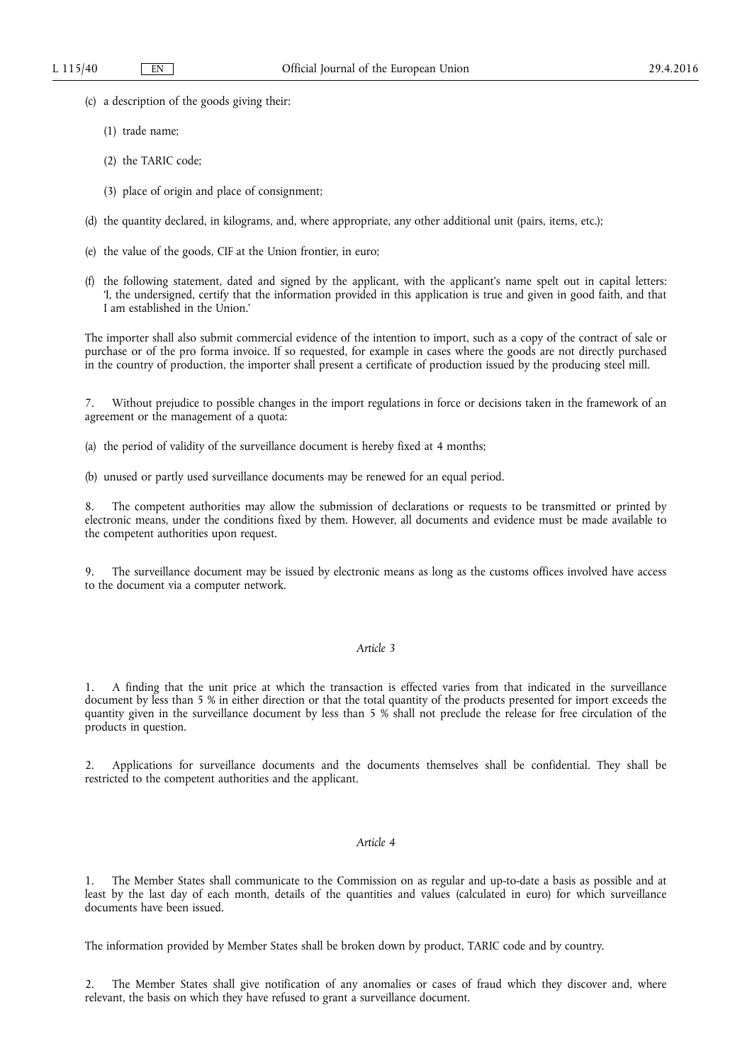- (c) a description of the goods giving their:
	- (1) trade name;
	- (2) the TARIC code;
	- (3) place of origin and place of consignment;
- (d) the quantity declared, in kilograms, and, where appropriate, any other additional unit (pairs, items, etc.);
- (e) the value of the goods, CIF at the Union frontier, in euro;
- (f) the following statement, dated and signed by the applicant, with the applicant's name spelt out in capital letters: 'I, the undersigned, certify that the information provided in this application is true and given in good faith, and that I am established in the Union.'

The importer shall also submit commercial evidence of the intention to import, such as a copy of the contract of sale or purchase or of the pro forma invoice. If so requested, for example in cases where the goods are not directly purchased in the country of production, the importer shall present a certificate of production issued by the producing steel mill.

Without prejudice to possible changes in the import regulations in force or decisions taken in the framework of an agreement or the management of a quota:

- (a) the period of validity of the surveillance document is hereby fixed at 4 months;
- (b) unused or partly used surveillance documents may be renewed for an equal period.

The competent authorities may allow the submission of declarations or requests to be transmitted or printed by electronic means, under the conditions fixed by them. However, all documents and evidence must be made available to the competent authorities upon request.

The surveillance document may be issued by electronic means as long as the customs offices involved have access to the document via a computer network.

#### *Article 3*

1. A finding that the unit price at which the transaction is effected varies from that indicated in the surveillance document by less than 5 % in either direction or that the total quantity of the products presented for import exceeds the quantity given in the surveillance document by less than 5 % shall not preclude the release for free circulation of the products in question.

2. Applications for surveillance documents and the documents themselves shall be confidential. They shall be restricted to the competent authorities and the applicant.

#### *Article 4*

1. The Member States shall communicate to the Commission on as regular and up-to-date a basis as possible and at least by the last day of each month, details of the quantities and values (calculated in euro) for which surveillance documents have been issued.

The information provided by Member States shall be broken down by product, TARIC code and by country.

The Member States shall give notification of any anomalies or cases of fraud which they discover and, where relevant, the basis on which they have refused to grant a surveillance document.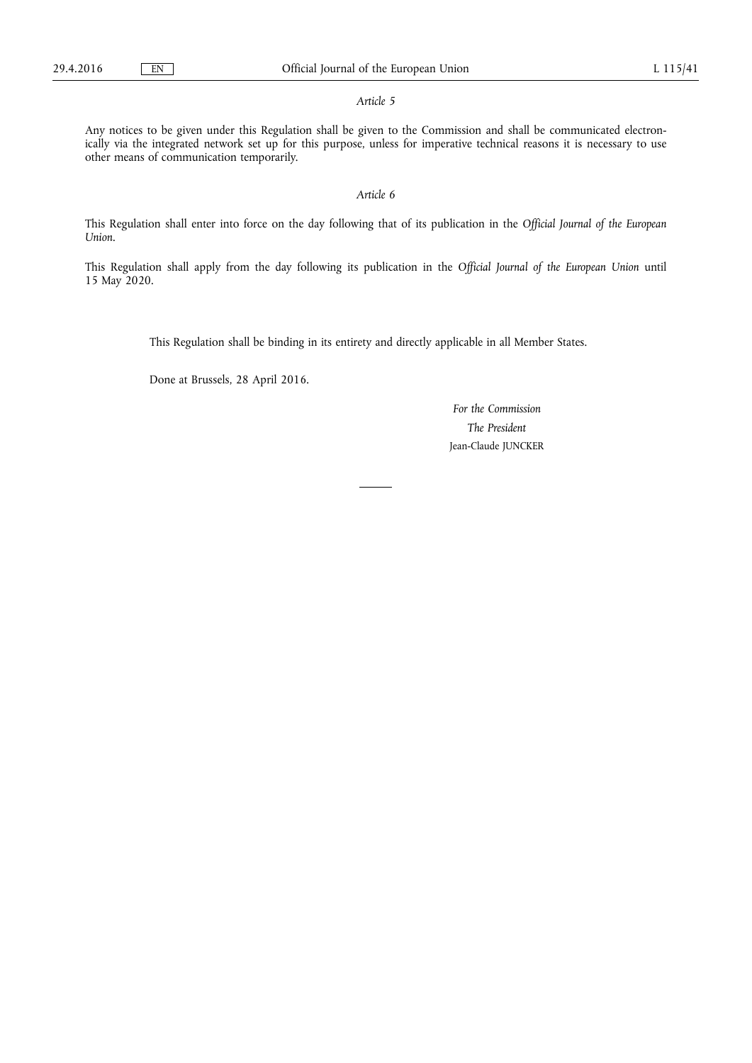#### *Article 5*

Any notices to be given under this Regulation shall be given to the Commission and shall be communicated electronically via the integrated network set up for this purpose, unless for imperative technical reasons it is necessary to use other means of communication temporarily.

#### *Article 6*

This Regulation shall enter into force on the day following that of its publication in the *Official Journal of the European Union*.

This Regulation shall apply from the day following its publication in the *Official Journal of the European Union* until 15 May 2020.

This Regulation shall be binding in its entirety and directly applicable in all Member States.

Done at Brussels, 28 April 2016.

*For the Commission The President*  Jean-Claude JUNCKER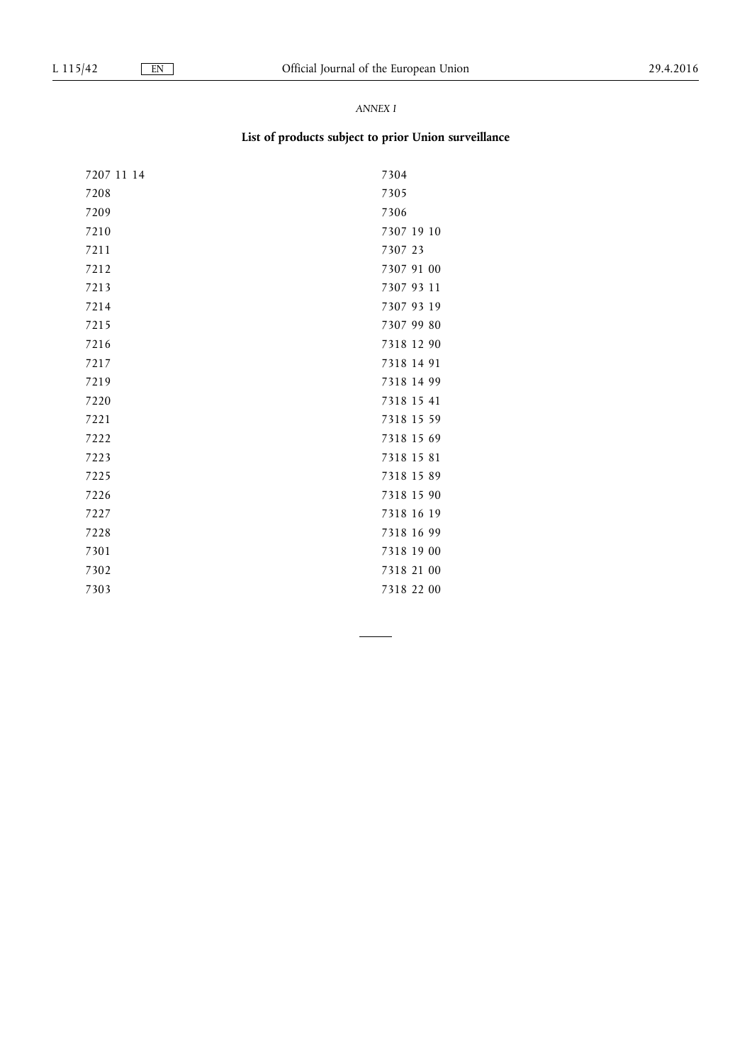# *ANNEX I*

# **List of products subject to prior Union surveillance**

| 7207 11 14 | 7304       |
|------------|------------|
| 7208       | 7305       |
| 7209       | 7306       |
| 7210       | 7307 19 10 |
| 7211       | 7307 23    |
| 7212       | 7307 91 00 |
| 7213       | 7307 93 11 |
| 7214       | 7307 93 19 |
| 7215       | 7307 99 80 |
| 7216       | 7318 12 90 |
| 7217       | 7318 14 91 |
| 7219       | 7318 14 99 |
| 7220       | 7318 15 41 |
| 7221       | 7318 15 59 |
| 7222       | 7318 15 69 |
| 7223       | 7318 15 81 |
| 7225       | 7318 15 89 |
| 7226       | 7318 15 90 |
| 7227       | 7318 16 19 |
| 7228       | 7318 16 99 |
| 7301       | 7318 19 00 |
| 7302       | 7318 21 00 |
| 7303       | 7318 22 00 |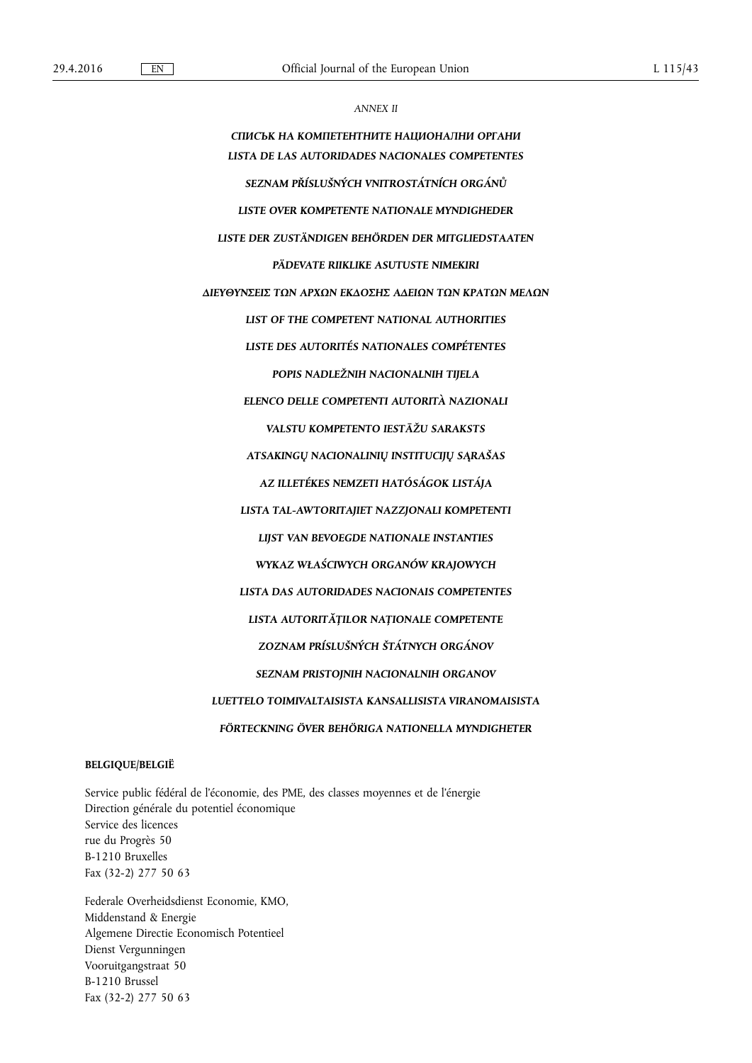*ANNEX II* 

*СПИСЪК НА КОМПЕТЕНТНИТЕ НАЦИОНАЛНИ ОРГАНИ LISTA DE LAS AUTORIDADES NACIONALES COMPETENTES SEZNAM PŘÍSLUŠNÝCH VNITROSTÁTNÍCH ORGÁNŮ LISTE OVER KOMPETENTE NATIONALE MYNDIGHEDER LISTE DER ZUSTÄNDIGEN BEHÖRDEN DER MITGLIEDSTAATEN PÄDEVATE RIIKLIKE ASUTUSTE NIMEKIRI ΔΙΕΥΘΥΝΣΕΙΣ ΤΩΝ ΑΡΧΩΝ ΕΚΔΟΣΗΣ ΑΔΕΙΩΝ ΤΩΝ ΚΡΑΤΩΝ ΜΕΛΩΝ LIST OF THE COMPETENT NATIONAL AUTHORITIES LISTE DES AUTORITÉS NATIONALES COMPÉTENTES POPIS NADLEŽNIH NACIONALNIH TIJELA ELENCO DELLE COMPETENTI AUTORITÀ NAZIONALI VALSTU KOMPETENTO IESTĀŽU SARAKSTS ATSAKINGŲ NACIONALINIŲ INSTITUCIJŲ SĄRAŠAS AZ ILLETÉKES NEMZETI HATÓSÁGOK LISTÁJA LISTA TAL-AWTORITAJIET NAZZJONALI KOMPETENTI LIJST VAN BEVOEGDE NATIONALE INSTANTIES WYKAZ WŁAŚCIWYCH ORGANÓW KRAJOWYCH LISTA DAS AUTORIDADES NACIONAIS COMPETENTES LISTA AUTORITĂȚILOR NAȚIONALE COMPETENTE ZOZNAM PRÍSLUŠNÝCH ŠTÁTNYCH ORGÁNOV SEZNAM PRISTOJNIH NACIONALNIH ORGANOV LUETTELO TOIMIVALTAISISTA KANSALLISISTA VIRANOMAISISTA FÖRTECKNING ÖVER BEHÖRIGA NATIONELLA MYNDIGHETER* 

#### **BELGIQUE/BELGIË**

Service public fédéral de l'économie, des PME, des classes moyennes et de l'énergie Direction générale du potentiel économique Service des licences rue du Progrès 50 B-1210 Bruxelles Fax (32-2) 277 50 63

Federale Overheidsdienst Economie, KMO, Middenstand & Energie Algemene Directie Economisch Potentieel Dienst Vergunningen Vooruitgangstraat 50 B-1210 Brussel Fax (32-2) 277 50 63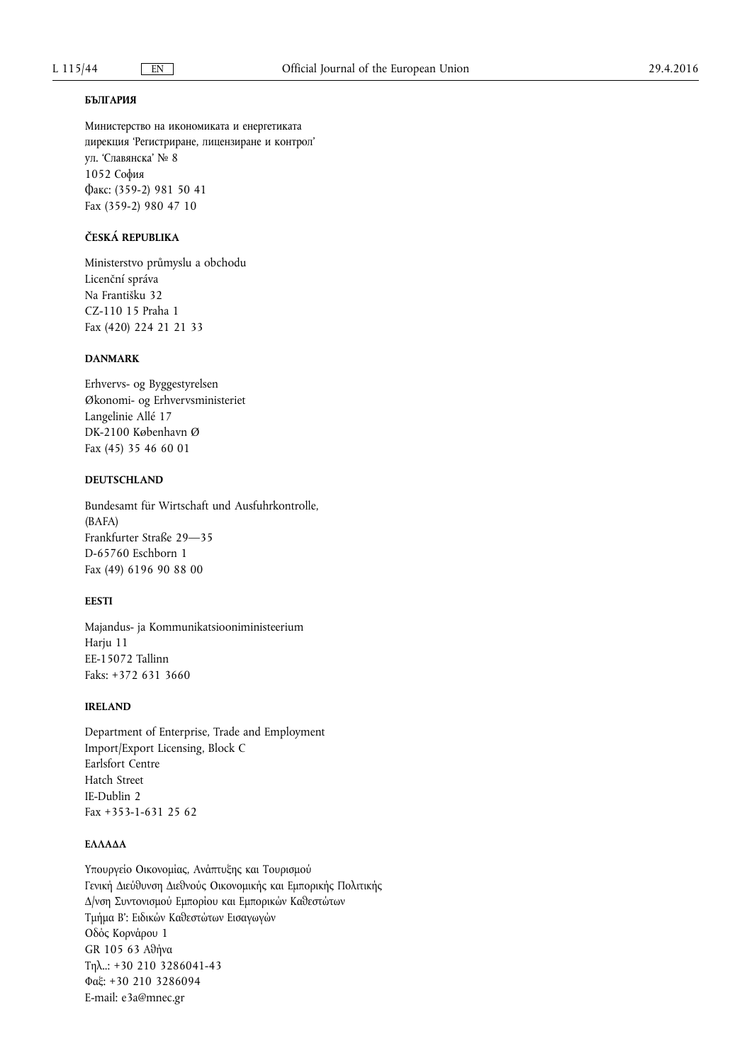#### **БЪЛГАРИЯ**

Министерство на икономиката и енергетиката дирекция 'Регистриране, лицензиране и контрол' ул. 'Славянска' № 8 1052 София Факс: (359-2) 981 50 41 Fax (359-2) 980 47 10

#### **ČESKÁ REPUBLIKA**

Ministerstvo průmyslu a obchodu Licenční správa Na Františku 32 CZ-110 15 Praha 1 Fax (420) 224 21 21 33

## **DANMARK**

Erhvervs- og Byggestyrelsen Økonomi- og Erhvervsministeriet Langelinie Allé 17 DK-2100 København Ø Fax (45) 35 46 60 01

# **DEUTSCHLAND**

Bundesamt für Wirtschaft und Ausfuhrkontrolle, (BAFA) Frankfurter Straße 29—35 D-65760 Eschborn 1 Fax (49) 6196 90 88 00

## **EESTI**

Majandus- ja Kommunikatsiooniministeerium Harju 11 EE-15072 Tallinn Faks: +372 631 3660

## **IRELAND**

Department of Enterprise, Trade and Employment Import/Export Licensing, Block C Earlsfort Centre Hatch Street IE-Dublin 2 Fax  $+353-1-631$  25 62

# **ΕΛΛΑΔΑ**

Υπουργείο Οικονομίας, Ανάπτυξης και Τουρισμού Γενική Διεύθυνση Διεθνούς Οικονομικής και Εμπορικής Πολιτικής Δ/νση Συντονισμού Εμπορίου και Εμπορικών Καθεστώτων Τμήμα Β': Ειδικών Καθεστώτων Εισαγωγών Οδός Κορνάρου 1 GR 105 63 Αθήνα Τηλ..: +30 210 3286041-43 Φαξ: +30 210 3286094 E-mail: [e3a@mnec.gr](mailto:e3a@mnec.gr)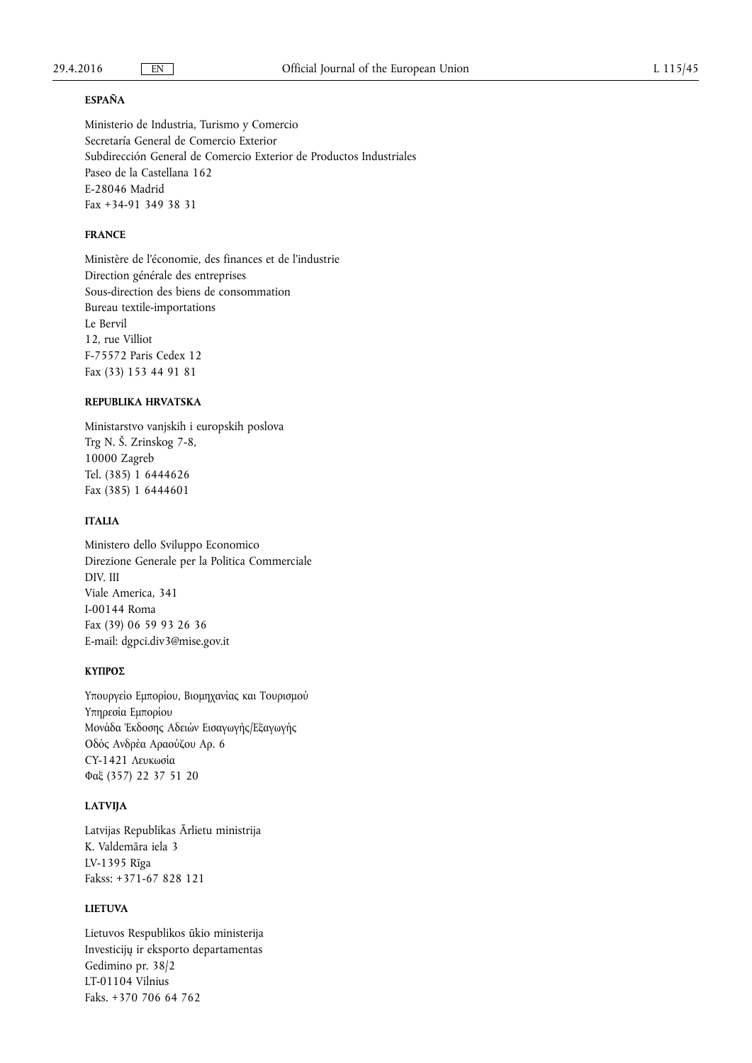#### **ESPAÑA**

Ministerio de Industria, Turismo y Comercio Secretaría General de Comercio Exterior Subdirección General de Comercio Exterior de Productos Industriales Paseo de la Castellana 162 E-28046 Madrid Fax +34-91 349 38 31

# **FRANCE**

Ministère de l'économie, des finances et de l'industrie Direction générale des entreprises Sous-direction des biens de consommation Bureau textile-importations Le Bervil 12, rue Villiot F-75572 Paris Cedex 12 Fax (33) 153 44 91 81

# **REPUBLIKA HRVATSKA**

Ministarstvo vanjskih i europskih poslova Trg N. Š. Zrinskog 7-8, 10000 Zagreb Tel. (385) 1 6444626 Fax (385) 1 6444601

# **ITALIA**

Ministero dello Sviluppo Economico Direzione Generale per la Politica Commerciale DIV. III Viale America, 341 I-00144 Roma Fax (39) 06 59 93 26 36 E-mail: [dgpci.div3@mise.gov.it](mailto:dgpci.div3@mise.gov.it) 

# **ΚΥΠΡΟΣ**

Υπουργείο Εμπορίου, Βιομηχανίας και Τουρισμού Υπηρεσία Εμπορίου Μονάδα Έκδοσης Αδειών Εισαγωγής/Εξαγωγής Οδός Ανδρέα Αραούζου Αρ. 6 CY-1421 Λευκωσία Φαξ (357) 22 37 51 20

## **LATVIJA**

Latvijas Republikas Ārlietu ministrija K. Valdemāra iela 3 LV-1395 Rīga Fakss: +371-67 828 121

# **LIETUVA**

Lietuvos Respublikos ūkio ministerija Investicijų ir eksporto departamentas Gedimino pr. 38/2 LT-01104 Vilnius Faks. +370 706 64 762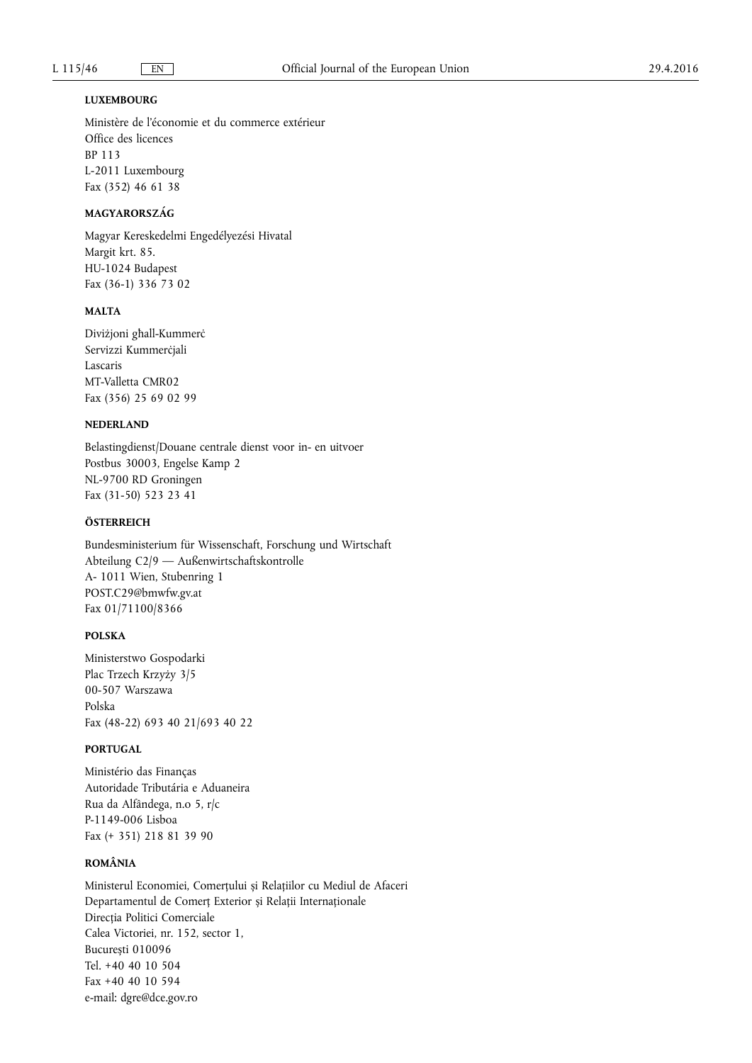## **LUXEMBOURG**

Ministère de l'économie et du commerce extérieur Office des licences BP 113 L-2011 Luxembourg Fax (352) 46 61 38

# **MAGYARORSZÁG**

Magyar Kereskedelmi Engedélyezési Hivatal Margit krt. 85. HU-1024 Budapest Fax (36-1) 336 73 02

#### **MALTA**

Diviżjoni għall-Kummerċ Servizzi Kummerċjali Lascaris MT-Valletta CMR02 Fax (356) 25 69 02 99

# **NEDERLAND**

Belastingdienst/Douane centrale dienst voor in- en uitvoer Postbus 30003, Engelse Kamp 2 NL-9700 RD Groningen Fax (31-50) 523 23 41

# **ÖSTERREICH**

Bundesministerium für Wissenschaft, Forschung und Wirtschaft Abteilung C2/9 — Außenwirtschaftskontrolle A- 1011 Wien, Stubenring 1 [POST.C29@bmwfw.gv.at](mailto:POST.C29@bmwfw.gv.at)  Fax 01/71100/8366

# **POLSKA**

Ministerstwo Gospodarki Plac Trzech Krzyży 3/5 00-507 Warszawa Polska Fax (48-22) 693 40 21/693 40 22

#### **PORTUGAL**

Ministério das Finanças Autoridade Tributária e Aduaneira Rua da Alfândega, n.o 5, r/c P-1149-006 Lisboa Fax (+ 351) 218 81 39 90

## **ROMÂNIA**

Ministerul Economiei, Comerțului și Relațiilor cu Mediul de Afaceri Departamentul de Comerț Exterior și Relații Internaționale Direcția Politici Comerciale Calea Victoriei, nr. 152, sector 1, București 010096 Tel. +40 40 10 504 Fax +40 40 10 594 e-mail: [dgre@dce.gov.ro](mailto:dgre@dce.gov.ro)